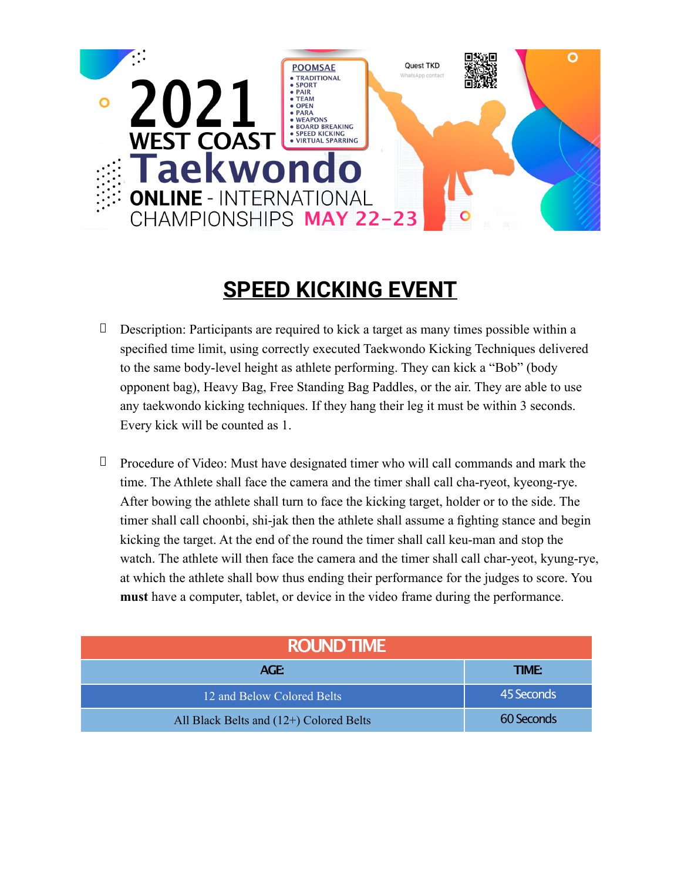

# <u>SPEED KICKING EVENT</u>

- $\Box$  Description: Participants are required to kick a target as many times possible within a specifed time limit, using correctly executed Taekwondo Kicking Techniques delivered to the same body-level height as athlete performing. They can kick a "Bob" (body opponent bag), Heavy Bag, Free Standing Bag Paddles, or the air. They are able to use any taekwondo kicking techniques. If they hang their leg it must be within 3 seconds. Every kick will be counted as 1.
- **Procedure of Video:** Must have designated timer who will call commands and mark the time. The Athlete shall face the camera and the timer shall call cha-ryeot, kyeong-rye. After bowing the athlete shall turn to face the kicking target, holder or to the side. The timer shall call choonbi, shi-jak then the athlete shall assume a fighting stance and begin kicking the target. At the end of the round the timer shall call keu-man and stop the watch. The athlete will then face the camera and the timer shall call char-yeot, kyung-rye, at which the athlete shall bow thus ending their performance for the judges to score. You must have a computer, tablet, or device in the video frame during the performance.

| <b>ROUND TIME</b>                         |            |  |
|-------------------------------------------|------------|--|
| AGE.                                      | TIME:      |  |
| 12 and Below Colored Belts                | 45 Seconds |  |
| All Black Belts and $(12+)$ Colored Belts | 60 Seconds |  |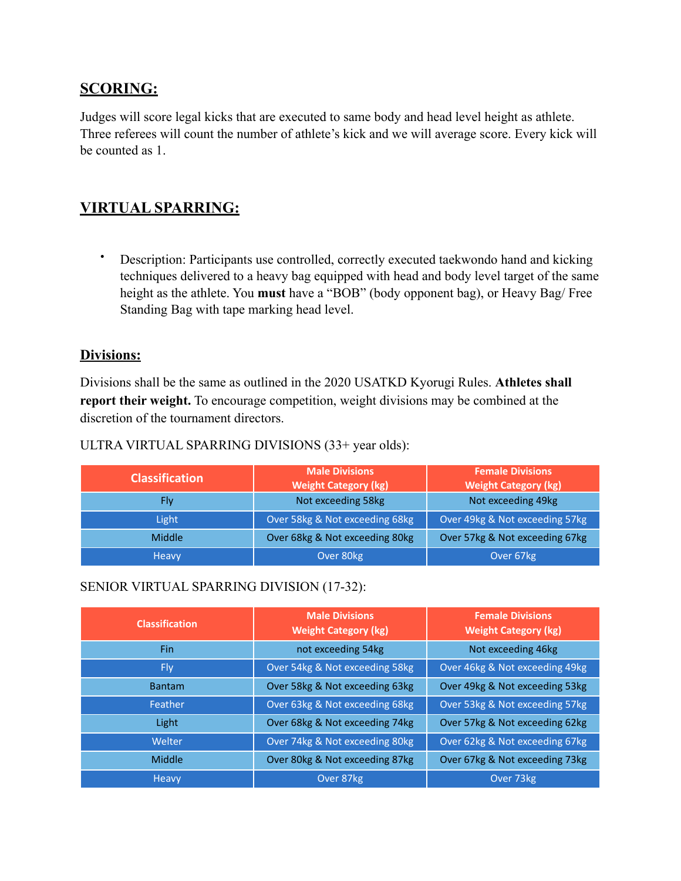## **SCORING:**

Judges will score legal kicks that are executed to same body and head level height as athlete. Three referees will count the number of athlete's kick and we will average score. Every kick will be counted as 1.

# **VIRTUAL SPARRING:**

• Description: Participants use controlled, correctly executed taekwondo hand and kicking techniques delivered to a heavy bag equipped with head and body level target of the same height as the athlete. You **must** have a "BOB" (body opponent bag), or Heavy Bag/ Free Standing Bag with tape marking head level.

#### **Divisions:**

Divisions shall be the same as outlined in the 2020 USATKD Kyorugi Rules. **Athletes shall report their weight.** To encourage competition, weight divisions may be combined at the discretion of the tournament directors.

#### ULTRA VIRTUAL SPARRING DIVISIONS (33+ year olds):

| <b>Classification</b> | <b>Male Divisions</b><br><b>Weight Category (kg)</b> | <b>Female Divisions</b><br><b>Weight Category (kg)</b> |
|-----------------------|------------------------------------------------------|--------------------------------------------------------|
| Fly                   | Not exceeding 58kg                                   | Not exceeding 49kg                                     |
| Light                 | Over 58kg & Not exceeding 68kg                       | Over 49kg & Not exceeding 57kg                         |
| Middle                | Over 68kg & Not exceeding 80kg                       | Over 57kg & Not exceeding 67kg                         |
| <b>Heavy</b>          | Over 80kg                                            | Over 67kg                                              |

#### SENIOR VIRTUAL SPARRING DIVISION (17-32):

| <b>Classification</b> | <b>Male Divisions</b><br><b>Weight Category (kg)</b> | <b>Female Divisions</b><br><b>Weight Category (kg)</b> |
|-----------------------|------------------------------------------------------|--------------------------------------------------------|
| <b>Fin</b>            | not exceeding 54kg                                   | Not exceeding 46kg                                     |
| <b>Fly</b>            | Over 54kg & Not exceeding 58kg                       | Over 46kg & Not exceeding 49kg                         |
| <b>Bantam</b>         | Over 58kg & Not exceeding 63kg                       | Over 49kg & Not exceeding 53kg                         |
| Feather               | Over 63kg & Not exceeding 68kg                       | Over 53kg & Not exceeding 57kg                         |
| Light                 | Over 68kg & Not exceeding 74kg                       | Over 57kg & Not exceeding 62kg                         |
| Welter                | Over 74kg & Not exceeding 80kg                       | Over 62kg & Not exceeding 67kg                         |
| Middle                | Over 80kg & Not exceeding 87kg                       | Over 67kg & Not exceeding 73kg                         |
| <b>Heavy</b>          | Over 87kg                                            | Over 73kg                                              |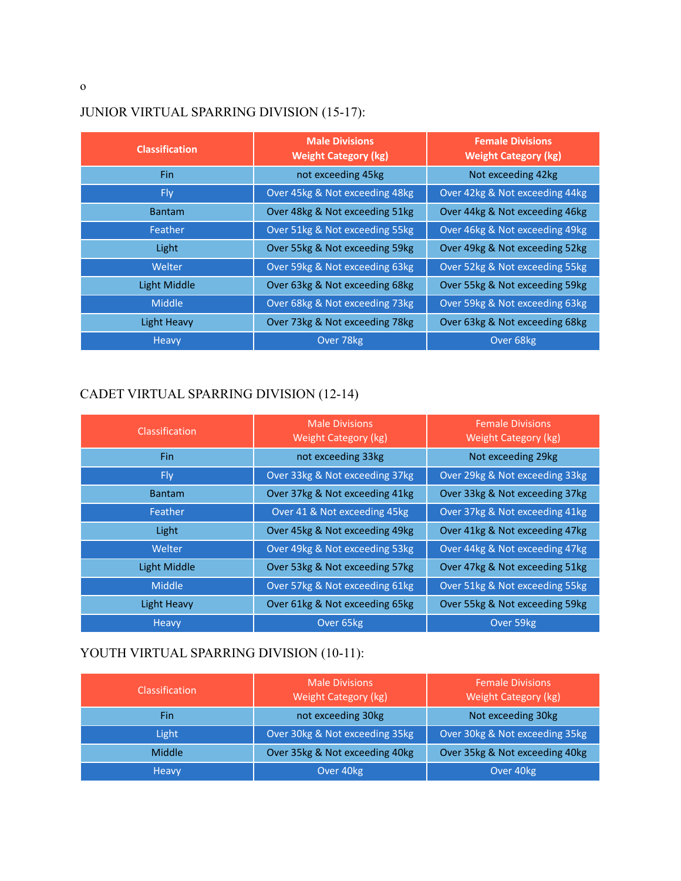# JUNIOR VIRTUAL SPARRING DIVISION (15-17):

| <b>Classification</b> | <b>Male Divisions</b><br><b>Weight Category (kg)</b> | <b>Female Divisions</b><br><b>Weight Category (kg)</b> |
|-----------------------|------------------------------------------------------|--------------------------------------------------------|
| <b>Fin</b>            | not exceeding 45kg                                   | Not exceeding 42kg                                     |
| <b>Fly</b>            | Over 45kg & Not exceeding 48kg                       | Over 42kg & Not exceeding 44kg                         |
| <b>Bantam</b>         | Over 48kg & Not exceeding 51kg                       | Over 44kg & Not exceeding 46kg                         |
| Feather               | Over 51kg & Not exceeding 55kg                       | Over 46kg & Not exceeding 49kg                         |
| Light                 | Over 55kg & Not exceeding 59kg                       | Over 49kg & Not exceeding 52kg                         |
| Welter                | Over 59kg & Not exceeding 63kg                       | Over 52kg & Not exceeding 55kg                         |
| Light Middle          | Over 63kg & Not exceeding 68kg                       | Over 55kg & Not exceeding 59kg                         |
| Middle                | Over 68kg & Not exceeding 73kg                       | Over 59kg & Not exceeding 63kg                         |
| <b>Light Heavy</b>    | Over 73kg & Not exceeding 78kg                       | Over 63kg & Not exceeding 68kg                         |
| <b>Heavy</b>          | Over 78kg                                            | Over 68kg                                              |

# CADET VIRTUAL SPARRING DIVISION (12-14)

| <b>Classification</b> | <b>Male Divisions</b><br>Weight Category (kg) | <b>Female Divisions</b><br>Weight Category (kg) |
|-----------------------|-----------------------------------------------|-------------------------------------------------|
| <b>Fin</b>            | not exceeding 33kg                            | Not exceeding 29kg                              |
| <b>Fly</b>            | Over 33kg & Not exceeding 37kg                | Over 29kg & Not exceeding 33kg                  |
| <b>Bantam</b>         | Over 37kg & Not exceeding 41kg                | Over 33kg & Not exceeding 37kg                  |
| Feather               | Over 41 & Not exceeding 45kg                  | Over 37kg & Not exceeding 41kg                  |
| Light                 | Over 45kg & Not exceeding 49kg                | Over 41kg & Not exceeding 47kg                  |
| Welter                | Over 49kg & Not exceeding 53kg                | Over 44kg & Not exceeding 47kg                  |
| Light Middle          | Over 53kg & Not exceeding 57kg                | Over 47kg & Not exceeding 51kg                  |
| <b>Middle</b>         | Over 57kg & Not exceeding 61kg                | Over 51kg & Not exceeding 55kg                  |
| <b>Light Heavy</b>    | Over 61kg & Not exceeding 65kg                | Over 55kg & Not exceeding 59kg                  |
| Heavy                 | Over 65kg                                     | Over 59kg                                       |

### YOUTH VIRTUAL SPARRING DIVISION (10-11):

| <b>Classification</b> | <b>Male Divisions</b><br>Weight Category (kg) | <b>Female Divisions</b><br>Weight Category (kg) |
|-----------------------|-----------------------------------------------|-------------------------------------------------|
| <b>Fin</b>            | not exceeding 30kg                            | Not exceeding 30kg                              |
| Light                 | Over 30kg & Not exceeding 35kg                | Over 30kg & Not exceeding 35kg                  |
| Middle                | Over 35kg & Not exceeding 40kg                | Over 35kg & Not exceeding 40kg                  |
| <b>Heavy</b>          | Over 40kg                                     | Over 40kg                                       |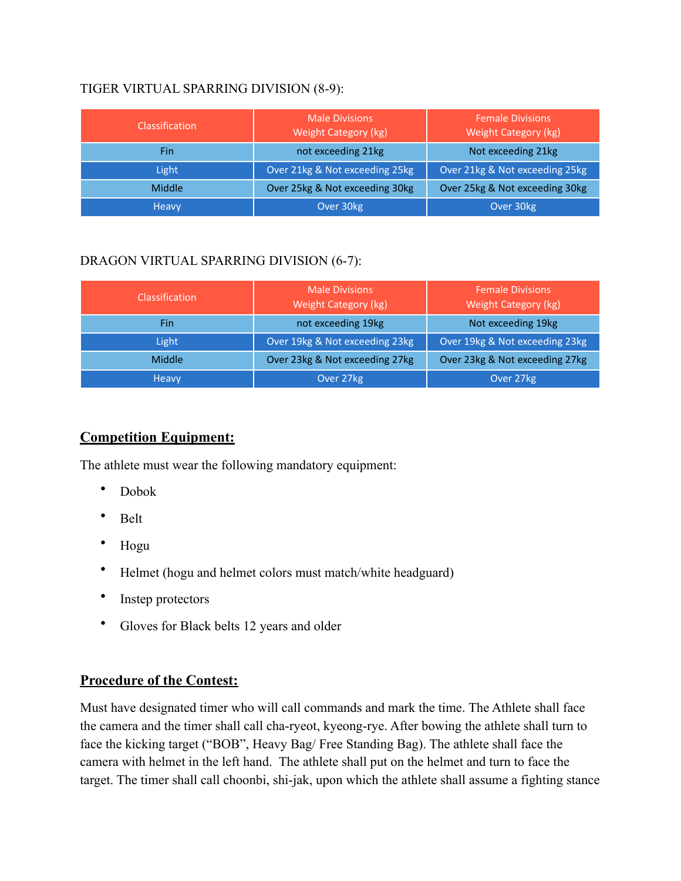## TIGER VIRTUAL SPARRING DIVISION (8-9):

| <b>Classification</b> | Male Divisions<br><b>Weight Category (kg)</b> | <b>Female Divisions</b><br>Weight Category (kg) |
|-----------------------|-----------------------------------------------|-------------------------------------------------|
| Fin                   | not exceeding 21kg                            | Not exceeding 21kg                              |
| Light                 | Over 21kg & Not exceeding 25kg                | Over 21kg & Not exceeding 25kg                  |
| Middle                | Over 25kg & Not exceeding 30kg                | Over 25kg & Not exceeding 30kg                  |
| <b>Heavy</b>          | Over 30kg                                     | Over 30kg                                       |

## DRAGON VIRTUAL SPARRING DIVISION (6-7):

| <b>Classification</b> | <b>Male Divisions</b><br>Weight Category (kg) | <b>Female Divisions</b><br>Weight Category (kg) |
|-----------------------|-----------------------------------------------|-------------------------------------------------|
| Fin                   | not exceeding 19kg                            | Not exceeding 19kg                              |
| Light                 | Over 19kg & Not exceeding 23kg                | Over 19kg & Not exceeding 23kg                  |
| Middle                | Over 23kg & Not exceeding 27kg                | Over 23kg & Not exceeding 27kg                  |
| <b>Heavy</b>          | Over 27kg                                     | Over 27kg                                       |

## **Competition Equipment:**

The athlete must wear the following mandatory equipment:

- Dobok
- Belt
- Hogu
- Helmet (hogu and helmet colors must match/white headguard)
- Instep protectors
- Gloves for Black belts 12 years and older

## **Procedure of the Contest:**

Must have designated timer who will call commands and mark the time. The Athlete shall face the camera and the timer shall call cha-ryeot, kyeong-rye. After bowing the athlete shall turn to face the kicking target ("BOB", Heavy Bag/ Free Standing Bag). The athlete shall face the camera with helmet in the left hand. The athlete shall put on the helmet and turn to face the target. The timer shall call choonbi, shi-jak, upon which the athlete shall assume a fighting stance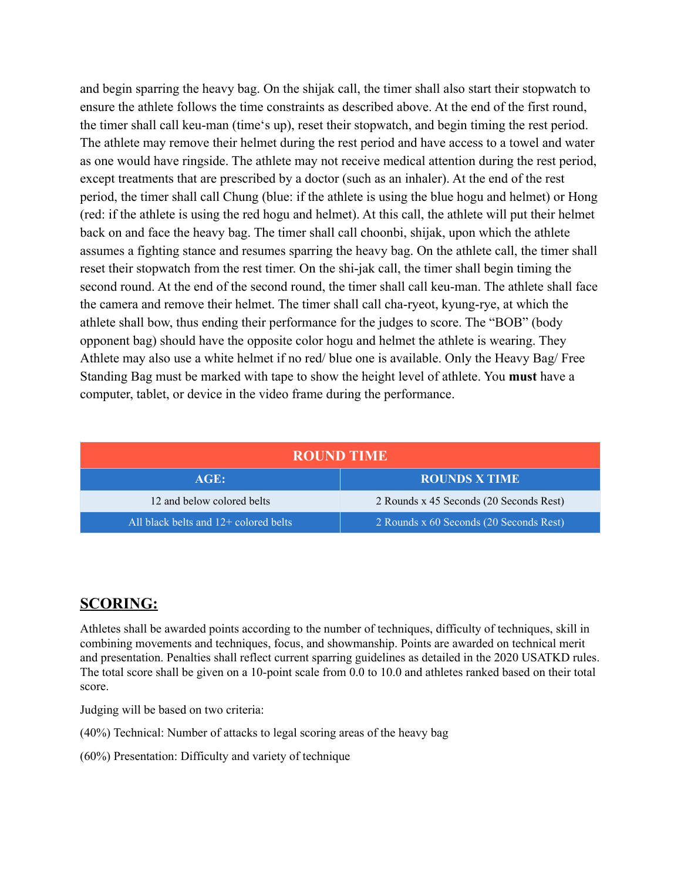and begin sparring the heavy bag. On the shijak call, the timer shall also start their stopwatch to ensure the athlete follows the time constraints as described above. At the end of the first round, the timer shall call keu-man (time's up), reset their stopwatch, and begin timing the rest period. The athlete may remove their helmet during the rest period and have access to a towel and water as one would have ringside. The athlete may not receive medical attention during the rest period, except treatments that are prescribed by a doctor (such as an inhaler). At the end of the rest period, the timer shall call Chung (blue: if the athlete is using the blue hogu and helmet) or Hong (red: if the athlete is using the red hogu and helmet). At this call, the athlete will put their helmet back on and face the heavy bag. The timer shall call choonbi, shijak, upon which the athlete assumes a fighting stance and resumes sparring the heavy bag. On the athlete call, the timer shall reset their stopwatch from the rest timer. On the shi-jak call, the timer shall begin timing the second round. At the end of the second round, the timer shall call keu-man. The athlete shall face the camera and remove their helmet. The timer shall call cha-ryeot, kyung-rye, at which the athlete shall bow, thus ending their performance for the judges to score. The "BOB" (body opponent bag) should have the opposite color hogu and helmet the athlete is wearing. They Athlete may also use a white helmet if no red/ blue one is available. Only the Heavy Bag/ Free Standing Bag must be marked with tape to show the height level of athlete. You **must** have a computer, tablet, or device in the video frame during the performance.

| <b>ROUND TIME</b>                       |                                         |  |
|-----------------------------------------|-----------------------------------------|--|
| AGE:                                    | <b>ROUNDS X TIME</b>                    |  |
| 12 and below colored belts              | 2 Rounds x 45 Seconds (20 Seconds Rest) |  |
| All black belts and $12+$ colored belts | 2 Rounds x 60 Seconds (20 Seconds Rest) |  |

## **SCORING:**

Athletes shall be awarded points according to the number of techniques, difficulty of techniques, skill in combining movements and techniques, focus, and showmanship. Points are awarded on technical merit and presentation. Penalties shall reflect current sparring guidelines as detailed in the 2020 USATKD rules. The total score shall be given on a 10-point scale from 0.0 to 10.0 and athletes ranked based on their total score.

Judging will be based on two criteria:

(40%) Technical: Number of attacks to legal scoring areas of the heavy bag

(60%) Presentation: Difficulty and variety of technique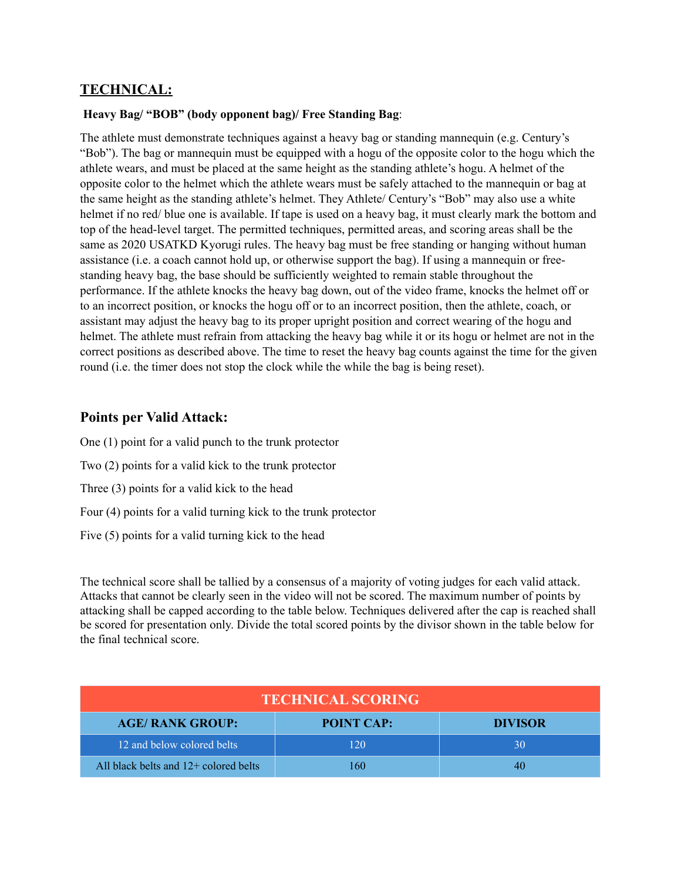#### **TECHNICAL:**

#### **Heavy Bag/ "BOB" (body opponent bag)/ Free Standing Bag**:

The athlete must demonstrate techniques against a heavy bag or standing mannequin (e.g. Century's "Bob"). The bag or mannequin must be equipped with a hogu of the opposite color to the hogu which the athlete wears, and must be placed at the same height as the standing athlete's hogu. A helmet of the opposite color to the helmet which the athlete wears must be safely attached to the mannequin or bag at the same height as the standing athlete's helmet. They Athlete/ Century's "Bob" may also use a white helmet if no red/ blue one is available. If tape is used on a heavy bag, it must clearly mark the bottom and top of the head-level target. The permitted techniques, permitted areas, and scoring areas shall be the same as 2020 USATKD Kyorugi rules. The heavy bag must be free standing or hanging without human assistance (i.e. a coach cannot hold up, or otherwise support the bag). If using a mannequin or freestanding heavy bag, the base should be sufficiently weighted to remain stable throughout the performance. If the athlete knocks the heavy bag down, out of the video frame, knocks the helmet off or to an incorrect position, or knocks the hogu off or to an incorrect position, then the athlete, coach, or assistant may adjust the heavy bag to its proper upright position and correct wearing of the hogu and helmet. The athlete must refrain from attacking the heavy bag while it or its hogu or helmet are not in the correct positions as described above. The time to reset the heavy bag counts against the time for the given round (i.e. the timer does not stop the clock while the while the bag is being reset).

#### **Points per Valid Attack:**

One (1) point for a valid punch to the trunk protector Two (2) points for a valid kick to the trunk protector Three (3) points for a valid kick to the head Four (4) points for a valid turning kick to the trunk protector Five (5) points for a valid turning kick to the head

The technical score shall be tallied by a consensus of a majority of voting judges for each valid attack. Attacks that cannot be clearly seen in the video will not be scored. The maximum number of points by attacking shall be capped according to the table below. Techniques delivered after the cap is reached shall be scored for presentation only. Divide the total scored points by the divisor shown in the table below for the final technical score.

| <b>TECHNICAL SCORING</b>                |                   |                |
|-----------------------------------------|-------------------|----------------|
| <b>AGE/ RANK GROUP:</b>                 | <b>POINT CAP:</b> | <b>DIVISOR</b> |
| 12 and below colored belts              | 120               | 30             |
| All black belts and $12+$ colored belts | 160               |                |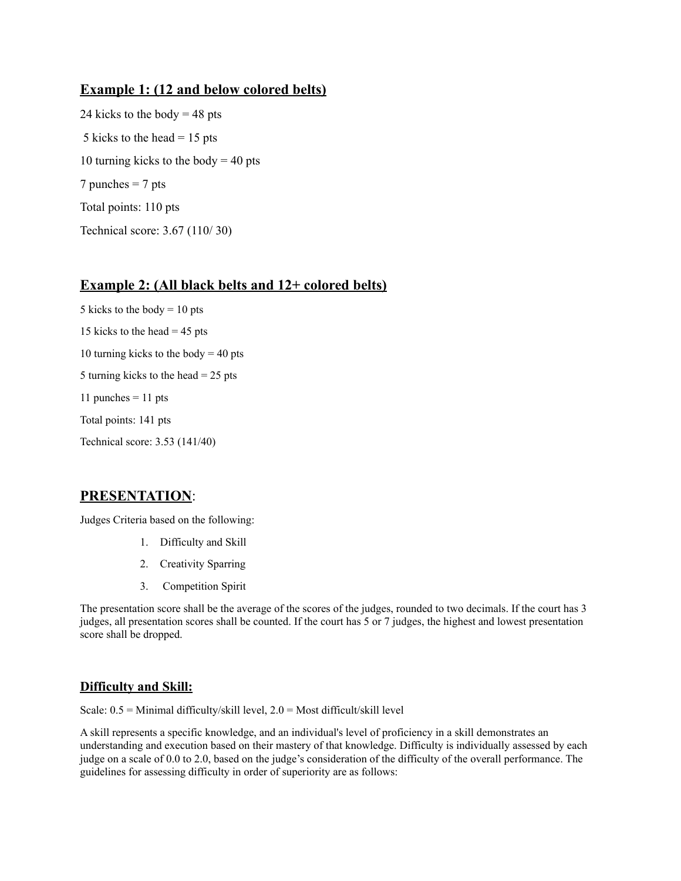#### **Example 1: (12 and below colored belts)**

24 kicks to the body  $=$  48 pts 5 kicks to the head = 15 pts 10 turning kicks to the body  $=$  40 pts  $7$  punches  $= 7$  pts Total points: 110 pts Technical score: 3.67 (110/ 30)

#### **Example 2: (All black belts and 12+ colored belts)**

5 kicks to the body  $= 10$  pts 15 kicks to the head  $=$  45 pts 10 turning kicks to the body = 40 pts 5 turning kicks to the head = 25 pts 11 punches  $= 11$  pts Total points: 141 pts Technical score: 3.53 (141/40)

#### **PRESENTATION**:

Judges Criteria based on the following:

- 1. Difficulty and Skill
- 2. Creativity Sparring
- 3. Competition Spirit

The presentation score shall be the average of the scores of the judges, rounded to two decimals. If the court has 3 judges, all presentation scores shall be counted. If the court has 5 or 7 judges, the highest and lowest presentation score shall be dropped.

#### **Difficulty and Skill:**

Scale: 0.5 = Minimal difficulty/skill level, 2.0 = Most difficult/skill level

A skill represents a specific knowledge, and an individual's level of proficiency in a skill demonstrates an understanding and execution based on their mastery of that knowledge. Difficulty is individually assessed by each judge on a scale of 0.0 to 2.0, based on the judge's consideration of the difficulty of the overall performance. The guidelines for assessing difficulty in order of superiority are as follows: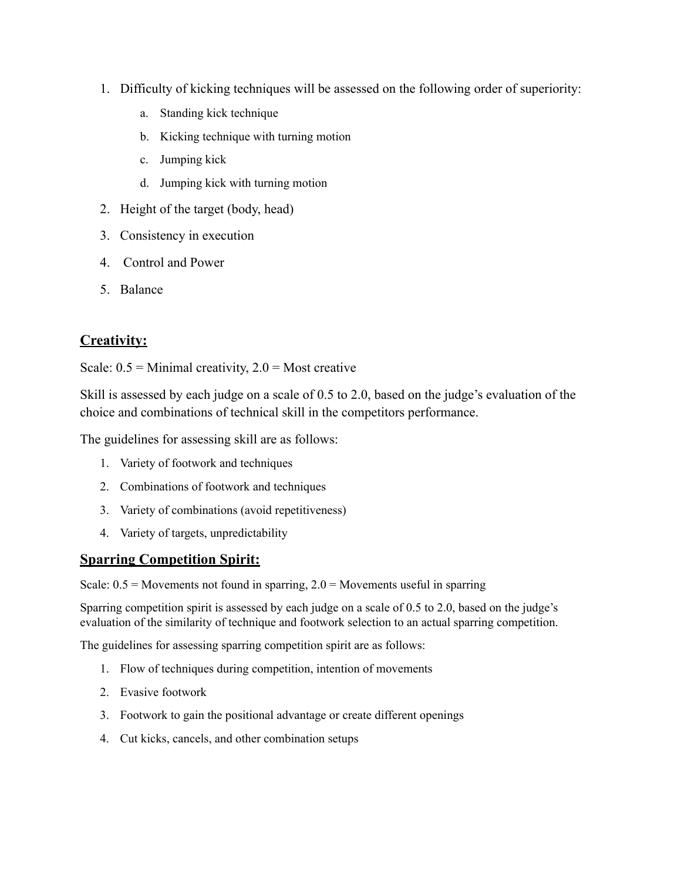- 1. Difficulty of kicking techniques will be assessed on the following order of superiority:
	- a. Standing kick technique
	- b. Kicking technique with turning motion
	- c. Jumping kick
	- d. Jumping kick with turning motion
- 2. Height of the target (body, head)
- 3. Consistency in execution
- 4. Control and Power
- 5. Balance

## **Creativity:**

Scale:  $0.5$  = Minimal creativity,  $2.0$  = Most creative

Skill is assessed by each judge on a scale of 0.5 to 2.0, based on the judge's evaluation of the choice and combinations of technical skill in the competitors performance.

The guidelines for assessing skill are as follows:

- 1. Variety of footwork and techniques
- 2. Combinations of footwork and techniques
- 3. Variety of combinations (avoid repetitiveness)
- 4. Variety of targets, unpredictability

#### **Sparring Competition Spirit:**

Scale:  $0.5$  = Movements not found in sparring,  $2.0$  = Movements useful in sparring

Sparring competition spirit is assessed by each judge on a scale of 0.5 to 2.0, based on the judge's evaluation of the similarity of technique and footwork selection to an actual sparring competition.

The guidelines for assessing sparring competition spirit are as follows:

- 1. Flow of techniques during competition, intention of movements
- 2. Evasive footwork
- 3. Footwork to gain the positional advantage or create different openings
- 4. Cut kicks, cancels, and other combination setups